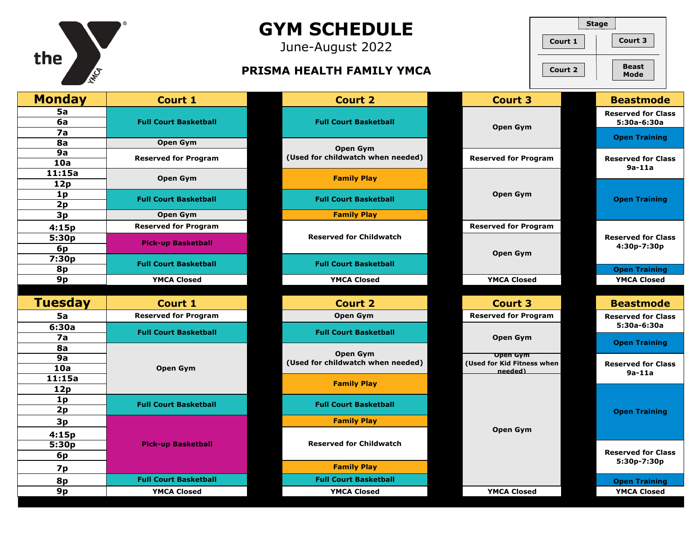| the<br>INTEG                     |                              | <b>GYM SCHEDULE</b><br>June-August 2022<br>PRISMA HEALTH FAMILY YMCA | Court 1<br>Court 2                                       | <b>Stage</b><br>Court 3<br><b>Beast</b><br>Mode                  |
|----------------------------------|------------------------------|----------------------------------------------------------------------|----------------------------------------------------------|------------------------------------------------------------------|
| <b>Monday</b>                    | <b>Court 1</b>               | <b>Court 2</b>                                                       | <b>Court 3</b>                                           | <b>Beastmode</b>                                                 |
| 5a<br>6a<br>7a                   | <b>Full Court Basketball</b> | <b>Full Court Basketball</b>                                         | <b>Open Gym</b>                                          | <b>Reserved for Class</b><br>5:30a-6:30a<br><b>Open Training</b> |
| 8a                               | Open Gym                     | <b>Open Gym</b>                                                      |                                                          |                                                                  |
| 9a<br>10a                        | <b>Reserved for Program</b>  | (Used for childwatch when needed)                                    | <b>Reserved for Program</b>                              | <b>Reserved for Class</b><br>$9a-11a$                            |
| 11:15a<br>12p                    | Open Gym                     | <b>Family Play</b>                                                   |                                                          |                                                                  |
| 1 <sub>p</sub><br>2p             | <b>Full Court Basketball</b> | <b>Full Court Basketball</b>                                         | <b>Open Gym</b>                                          | <b>Open Training</b>                                             |
| 3p                               | Open Gym                     | <b>Family Play</b>                                                   |                                                          |                                                                  |
| 4:15p                            | <b>Reserved for Program</b>  |                                                                      | <b>Reserved for Program</b>                              |                                                                  |
| 5:30p<br>6 <sub>p</sub>          | <b>Pick-up Basketball</b>    | <b>Reserved for Childwatch</b>                                       |                                                          | <b>Reserved for Class</b><br>4:30p-7:30p                         |
| 7:30p<br>8p                      | <b>Full Court Basketball</b> | <b>Full Court Basketball</b>                                         | Open Gym                                                 | <b>Open Training</b>                                             |
| 9p                               | <b>YMCA Closed</b>           | <b>YMCA Closed</b>                                                   | <b>YMCA Closed</b>                                       | <b>YMCA Closed</b>                                               |
|                                  |                              |                                                                      |                                                          |                                                                  |
| <b>Tuesday</b>                   | <b>Court 1</b>               | <b>Court 2</b>                                                       | <b>Court 3</b>                                           | <b>Beastmode</b>                                                 |
| <b>5a</b>                        | <b>Reserved for Program</b>  | <b>Open Gym</b>                                                      | <b>Reserved for Program</b>                              | <b>Reserved for Class</b>                                        |
| 6:30a<br>7a                      | <b>Full Court Basketball</b> | <b>Full Court Basketball</b>                                         | <b>Open Gym</b>                                          | 5:30a-6:30a<br><b>Open Training</b>                              |
| 8a<br>9a<br>10a                  | <b>Open Gym</b>              | <b>Open Gym</b><br>(Used for childwatch when needed)                 | <b>Open Gym</b><br>(Used for Kid Fitness when<br>needed) | <b>Reserved for Class</b><br>$9a-11a$                            |
| 11:15a<br>12p                    |                              | <b>Family Play</b>                                                   |                                                          |                                                                  |
| 1 <sub>p</sub><br>2p             | <b>Full Court Basketball</b> | <b>Full Court Basketball</b>                                         |                                                          | <b>Open Training</b>                                             |
| 3p                               |                              | <b>Family Play</b>                                                   |                                                          |                                                                  |
| 4:15p<br>5:30p<br>6 <sub>p</sub> | <b>Pick-up Basketball</b>    | <b>Reserved for Childwatch</b>                                       | Open Gym                                                 |                                                                  |
| 7p                               |                              | <b>Family Play</b>                                                   |                                                          | 5:30p-7:30p                                                      |
| 8p                               | <b>Full Court Basketball</b> | <b>Full Court Basketball</b>                                         |                                                          | <b>Open Training</b>                                             |
| 9p                               | <b>YMCA Closed</b>           | <b>YMCA Closed</b>                                                   | <b>YMCA Closed</b>                                       | <b>YMCA Closed</b>                                               |
|                                  |                              |                                                                      |                                                          |                                                                  |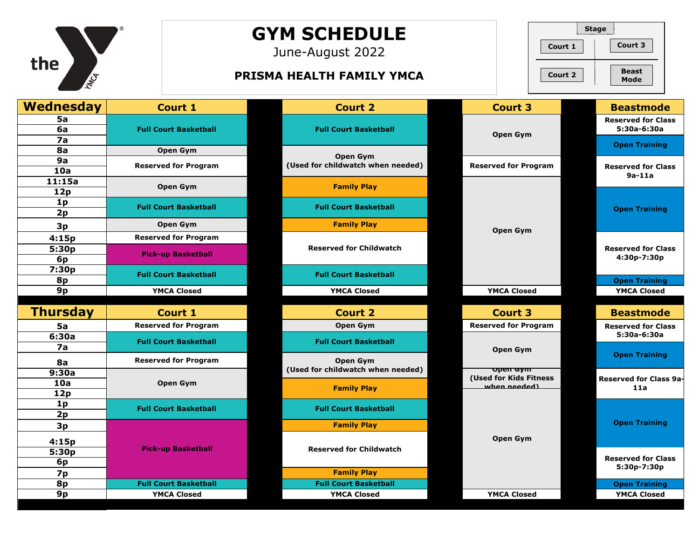

## **GYM SCHEDULE**

June-August 2022

## **PRISMA HEALTH FAMILY YMCA Beast Beast**



| <b>Wednesday</b> | <b>Court 1</b>               | <b>Court 2</b>                                     | <b>Court 3</b>                         | <b>Beastmode</b>                           |
|------------------|------------------------------|----------------------------------------------------|----------------------------------------|--------------------------------------------|
| 5a<br>6a         | <b>Full Court Basketball</b> | <b>Full Court Basketball</b>                       | Open Gym                               | <b>Reserved for Class</b><br>5:30a-6:30a   |
| 7a<br>8a         | Open Gym                     |                                                    |                                        | <b>Open Training</b>                       |
| 9a               |                              | Open Gym                                           |                                        |                                            |
| 10a              | <b>Reserved for Program</b>  | (Used for childwatch when needed)                  | <b>Reserved for Program</b>            | <b>Reserved for Class</b>                  |
| 11:15a           | Open Gym                     | <b>Family Play</b>                                 |                                        | $9a-11a$                                   |
| 12p              |                              |                                                    |                                        |                                            |
| 1 <sub>p</sub>   | <b>Full Court Basketball</b> | <b>Full Court Basketball</b>                       |                                        | <b>Open Training</b>                       |
| 2p               |                              |                                                    |                                        |                                            |
| 3p               | <b>Open Gym</b>              | <b>Family Play</b>                                 | Open Gym                               |                                            |
| 4:15p            | <b>Reserved for Program</b>  |                                                    |                                        |                                            |
| 5:30p            | <b>Pick-up Basketball</b>    | <b>Reserved for Childwatch</b>                     |                                        | <b>Reserved for Class</b>                  |
| 6p               |                              |                                                    |                                        | 4:30p-7:30p                                |
| 7:30p<br>8p      | <b>Full Court Basketball</b> | <b>Full Court Basketball</b>                       |                                        |                                            |
| 9p               | <b>YMCA Closed</b>           | <b>YMCA Closed</b>                                 | <b>YMCA Closed</b>                     | <b>Open Training</b><br><b>YMCA Closed</b> |
|                  |                              |                                                    |                                        |                                            |
| <b>Thursday</b>  | Court 1                      | <b>Court 2</b>                                     | <b>Court 3</b>                         | <b>Beastmode</b>                           |
| 5a               | <b>Reserved for Program</b>  | Open Gym                                           | <b>Reserved for Program</b>            | <b>Reserved for Class</b>                  |
| 6:30a            |                              |                                                    |                                        |                                            |
|                  |                              |                                                    |                                        | 5:30a-6:30a                                |
| 7a               | <b>Full Court Basketball</b> | <b>Full Court Basketball</b>                       | Open Gym                               |                                            |
| <b>8a</b>        | <b>Reserved for Program</b>  | Open Gym                                           |                                        | <b>Open Training</b>                       |
| 9:30a            |                              | (Used for childwatch when needed)                  | <b>Open Gym</b>                        |                                            |
| 10a              | Open Gym                     | <b>Family Play</b>                                 | (Used for Kids Fitness<br>when needed) | Reserved for Class 9a-<br>11a              |
| 12p              |                              |                                                    |                                        |                                            |
| 1 <sub>p</sub>   | <b>Full Court Basketball</b> | <b>Full Court Basketball</b>                       |                                        |                                            |
| 2p               |                              | <b>Family Play</b>                                 |                                        | <b>Open Training</b>                       |
| 3p               |                              |                                                    |                                        |                                            |
| 4:15p            | <b>Pick-up Basketball</b>    | <b>Reserved for Childwatch</b>                     | Open Gym                               |                                            |
| 5:30p            |                              |                                                    |                                        | <b>Reserved for Class</b>                  |
| 6p               |                              |                                                    |                                        | 5:30p-7:30p                                |
| 7p<br>8p         | <b>Full Court Basketball</b> | <b>Family Play</b><br><b>Full Court Basketball</b> |                                        | <b>Open Training</b>                       |